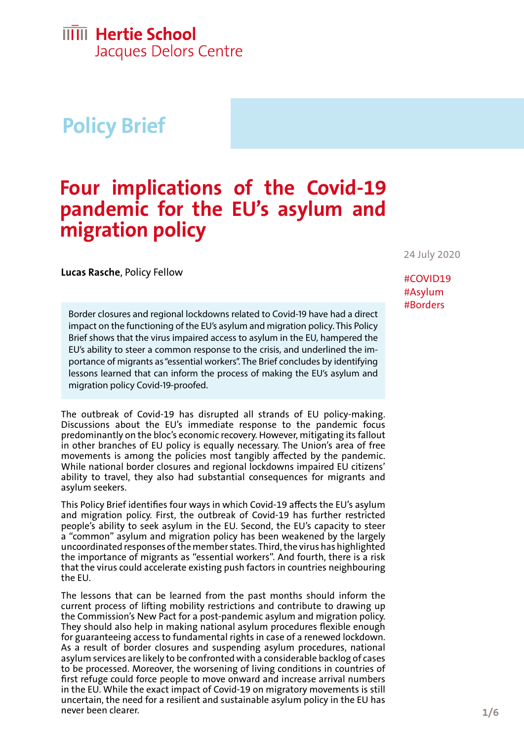# **Policy Brief**

## **Four implications of the Covid-19 pandemic for the EU's asylum and migration policy**

24 July 2020

**Lucas Rasche**, Policy Fellow

Border closures and regional lockdowns related to Covid-19 have had a direct impact on the functioning of the EU's asylum and migration policy. This Policy Brief shows that the virus impaired access to asylum in the EU, hampered the EU's ability to steer a common response to the crisis, and underlined the importance of migrants as "essential workers". The Brief concludes by identifying lessons learned that can inform the process of making the EU's asylum and migration policy Covid-19-proofed.

The outbreak of Covid-19 has disrupted all strands of EU policy-making. Discussions about the EU's immediate response to the pandemic focus predominantly on the bloc's economic recovery. However, mitigating its fallout in other branches of EU policy is equally necessary. The Union's area of free movements is among the policies most tangibly affected by the pandemic. While national border closures and regional lockdowns impaired EU citizens' ability to travel, they also had substantial consequences for migrants and asylum seekers.

This Policy Brief identifies four ways in which Covid-19 affects the EU's asylum and migration policy. First, the outbreak of Covid-19 has further restricted people's ability to seek asylum in the EU. Second, the EU's capacity to steer a "common" asylum and migration policy has been weakened by the largely uncoordinated responses of the member states. Third, the virus has highlighted the importance of migrants as "essential workers". And fourth, there is a risk that the virus could accelerate existing push factors in countries neighbouring the EU.

The lessons that can be learned from the past months should inform the current process of lifting mobility restrictions and contribute to drawing up the Commission's New Pact for a post-pandemic asylum and migration policy. They should also help in making national asylum procedures flexible enough for guaranteeing access to fundamental rights in case of a renewed lockdown. As a result of border closures and suspending asylum procedures, national asylum services are likely to be confronted with a considerable backlog of cases to be processed. Moreover, the worsening of living conditions in countries of first refuge could force people to move onward and increase arrival numbers in the EU. While the exact impact of Covid-19 on migratory movements is still uncertain, the need for a resilient and sustainable asylum policy in the EU has never been clearer.

#### #COVID19 #Asylum #Borders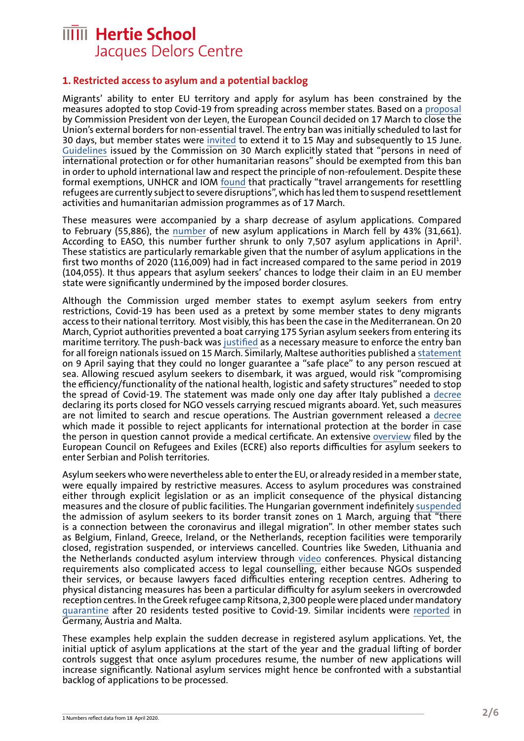#### **1. Restricted access to asylum and a potential backlog**

Migrants' ability to enter EU territory and apply for asylum has been constrained by the measures adopted to stop Covid-19 from spreading across member states. Based on a [proposal](https://ec.europa.eu/commission/presscorner/detail/en/STATEMENT_20_477) by Commission President von der Leyen, the European Council decided on 17 March to close the Union's external borders for non-essential travel. The entry ban was initially scheduled to last for 30 days, but member states were [invited](https://ec.europa.eu/commission/presscorner/detail/en/ip_20_823) to extend it to 15 May and subsequently to 15 June. [Guidelines](https://ec.europa.eu/home-affairs/sites/homeaffairs/files/what-we-do/policies/european-agenda-migration/20200330_c-2020-2050-report_en.pdf) issued by the Commission on 30 March explicitly stated that "persons in need of international protection or for other humanitarian reasons" should be exempted from this ban in order to uphold international law and respect the principle of non-refoulement. Despite these formal exemptions, UNHCR and IOM [found](https://www.unhcr.org/news/press/2020/3/5e7103034/iom-unhcr-announce-temporary-suspension-resettlement-travel-refugees.html) that practically "travel arrangements for resettling refugees are currently subject to severe disruptions", which has led them to suspend resettlement activities and humanitarian admission programmes as of 17 March.

These measures were accompanied by a sharp decrease of asylum applications. Compared to February (55,886), the [number](https://easo.europa.eu/latest-asylum-trends) of new asylum applications in March fell by 43% (31,661). According to EASO, this number further shrunk to only 7,507 asylum applications in April<sup>1</sup>. These statistics are particularly remarkable given that the number of asylum applications in the first two months of 2020 (116,009) had in fact increased compared to the same period in 2019 (104,055). It thus appears that asylum seekers' chances to lodge their claim in an EU member state were significantly undermined by the imposed border closures.

Although the Commission urged member states to exempt asylum seekers from entry restrictions, Covid-19 has been used as a pretext by some member states to deny migrants access to their national territory. Most visibly, this has been the case in the Mediterranean. On 20 March, Cypriot authorities prevented a boat carrying 175 Syrian asylum seekers from entering its maritime territory. The push-back was [justified](https://www.aljazeera.com/news/2020/03/cyprus-pushes-syrian-refugees-sea-due-coronavirus-200330091614066.html) as a necessary measure to enforce the entry ban for all foreign nationals issued on 15 March. Similarly, Maltese authorities published a [statement](https://timesofmalta.com/articles/view/malta-says-it-cannot-guarantee-migrant-rescues.784571) on 9 April saying that they could no longer guarantee a "safe place" to any person rescued at sea. Allowing rescued asylum seekers to disembark, it was argued, would risk "compromising the efficiency/functionality of the national health, logistic and safety structures" needed to stop the spread of Covid-19. The statement was made only one day after Italy published a [decree](https://timesofmalta.com/articles/view/ministers-meet-as-italy-closes-its-ports-to-ngo-migrant-rescue-ships.784385) declaring its ports closed for NGO vessels carrying rescued migrants aboard. Yet, such measures are not limited to search and rescue operations. The Austrian government released a [decree](https://www.vienna.at/fluechtlinge-werden-an-der-grenze-abgewiesen/6576374) which made it possible to reject applicants for international protection at the border in case the person in question cannot provide a medical certificate. An extensive [overview](https://www.ecre.org/information-sheet-28-may-2020-covid-19-measures-related-to-asylum-and-migration-across-europe/) filed by the European Council on Refugees and Exiles (ECRE) also reports difficulties for asylum seekers to enter Serbian and Polish territories.

Asylum seekers who were nevertheless able to enter the EU, or already resided in a member state, were equally impaired by restrictive measures. Access to asylum procedures was constrained either through explicit legislation or as an implicit consequence of the physical distancing measures and the closure of public facilities. The Hungarian government indefinitely [suspended](https://www.kormany.hu/en/news/hungary-to-suspend-admission-of-illegal-migrants-to-transit-zone-indefinitely) the admission of asylum seekers to its border transit zones on 1 March, arguing that "there is a connection between the coronavirus and illegal migration". In other member states such as Belgium, Finland, Greece, Ireland, or the Netherlands, reception facilities were temporarily closed, registration suspended, or interviews cancelled. Countries like Sweden, Lithuania and the Netherlands conducted asylum interview through [video](https://www.easo.europa.eu/sites/default/files/covid19-emergency-measures-asylum-reception-systems.pdf) conferences. Physical distancing requirements also complicated access to legal counselling, either because NGOs suspended their services, or because lawyers faced difficulties entering reception centres. Adhering to physical distancing measures has been a particular difficulty for asylum seekers in overcrowded reception centres. In the Greek refugee camp Ritsona, 2,300 people were placed under mandatory [quarantine](https://www.aljazeera.com/news/2020/04/woman-greece-refugee-test-positive-coronavirus-200401111738369.html) after 20 residents tested positive to Covid-19. Similar incidents were [reported](https://www.icmpd.org/news-centre/news-detail/expert-voice-refuge-in-the-time-of-corona/) in Germany, Austria and Malta.

These examples help explain the sudden decrease in registered asylum applications. Yet, the initial uptick of asylum applications at the start of the year and the gradual lifting of border controls suggest that once asylum procedures resume, the number of new applications will increase significantly. National asylum services might hence be confronted with a substantial backlog of applications to be processed.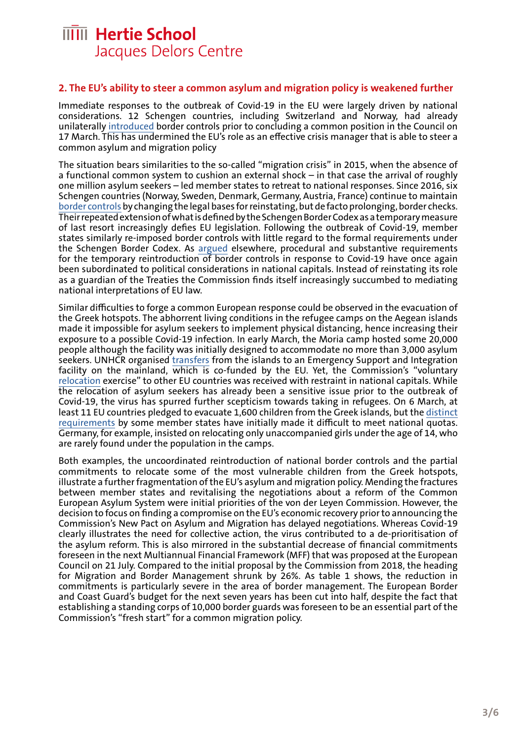#### **2. The EU's ability to steer a common asylum and migration policy is weakened further**

Immediate responses to the outbreak of Covid-19 in the EU were largely driven by national considerations. 12 Schengen countries, including Switzerland and Norway, had already unilaterally [introduced](https://ec.europa.eu/home-affairs/sites/homeaffairs/files/what-we-do/policies/borders-and-visas/schengen/reintroduction-border-control/docs/ms_notifications_-_reintroduction_of_border_control_en.pdf) border controls prior to concluding a common position in the Council on 17 March. This has undermined the EU's role as an effective crisis manager that is able to steer a common asylum and migration policy

The situation bears similarities to the so-called "migration crisis" in 2015, when the absence of a functional common system to cushion an external shock – in that case the arrival of roughly one million asylum seekers – led member states to retreat to national responses. Since 2016, six Schengen countries (Norway, Sweden, Denmark, Germany, Austria, France) continue to [maintain](https://ec.europa.eu/home-affairs/what-we-do/policies/borders-and-visas/schengen/reintroduction-border-control_en) [border controls](https://ec.europa.eu/home-affairs/what-we-do/policies/borders-and-visas/schengen/reintroduction-border-control_en) by changing the legal bases for reinstating, but de facto prolonging, border checks. Their repeated extension of what is defined by the Schengen Border Codex as a temporary measure of last resort increasingly defies EU legislation. Following the outbreak of Covid-19, member states similarly re-imposed border controls with little regard to the formal requirements under the Schengen Border Codex. As [argued](https://eulawlive.com/op-ed-the-unexpected-resurgence-of-the-schengen-area-by-daniel-thym/) elsewhere, procedural and substantive requirements for the temporary reintroduction of border controls in response to Covid-19 have once again been subordinated to political considerations in national capitals. Instead of reinstating its role as a guardian of the Treaties the Commission finds itself increasingly succumbed to mediating national interpretations of EU law.

Similar difficulties to forge a common European response could be observed in the evacuation of the Greek hotspots. The abhorrent living conditions in the refugee camps on the Aegean islands made it impossible for asylum seekers to implement physical distancing, hence increasing their exposure to a possible Covid-19 infection. In early March, the Moria camp hosted some 20,000 people although the facility was initially designed to accommodate no more than 3,000 asylum seekers. UNHCR organised [transfers](https://data2.unhcr.org/en/documents/download/77663) from the islands to an Emergency Support and Integration facility on the mainland, which is co-funded by the EU. Yet, the Commission's "voluntary [relocation](https://ec.europa.eu/commission/presscorner/detail/en/qanda_20_1291) exercise" to other EU countries was received with restraint in national capitals. While the relocation of asylum seekers has already been a sensitive issue prior to the outbreak of Covid-19, the virus has spurred further scepticism towards taking in refugees. On 6 March, at least 11 EU countries pledged to evacuate 1,600 children from the Greek islands, but the [distinct](https://www.tagesschau.de/investigativ/report-mainz/fluechtlinge-griechenland-209.html) [requirements](https://www.tagesschau.de/investigativ/report-mainz/fluechtlinge-griechenland-209.html) by some member states have initially made it difficult to meet national quotas. Germany, for example, insisted on relocating only unaccompanied girls under the age of 14, who are rarely found under the population in the camps.

Both examples, the uncoordinated reintroduction of national border controls and the partial commitments to relocate some of the most vulnerable children from the Greek hotspots, illustrate a further fragmentation of the EU's asylum and migration policy. Mending the fractures between member states and revitalising the negotiations about a reform of the Common European Asylum System were initial priorities of the von der Leyen Commission. However, the decision to focus on finding a compromise on the EU's economic recovery prior to announcing the Commission's New Pact on Asylum and Migration has delayed negotiations. Whereas Covid-19 clearly illustrates the need for collective action, the virus contributed to a de-prioritisation of the asylum reform. This is also mirrored in the substantial decrease of financial commitments foreseen in the next Multiannual Financial Framework (MFF) that was proposed at the European Council on 21 July. Compared to the initial proposal by the Commission from 2018, the heading for Migration and Border Management shrunk by 26%. As table 1 shows, the reduction in commitments is particularly severe in the area of border management. The European Border and Coast Guard's budget for the next seven years has been cut into half, despite the fact that establishing a standing corps of 10,000 border guards was foreseen to be an essential part of the Commission's "fresh start" for a common migration policy.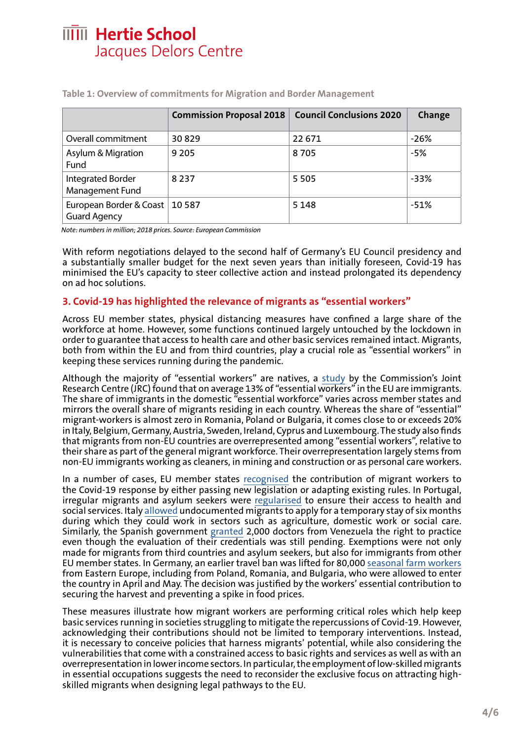|                                                | <b>Commission Proposal 2018</b> | <b>Council Conclusions 2020</b> | Change |
|------------------------------------------------|---------------------------------|---------------------------------|--------|
| Overall commitment                             | 30829                           | 22 671                          | $-26%$ |
| Asylum & Migration<br>Fund                     | 9 2 0 5                         | 8705                            | -5%    |
| <b>Integrated Border</b><br>Management Fund    | 8 2 3 7                         | 5 5 0 5                         | -33%   |
| European Border & Coast<br><b>Guard Agency</b> | 10 5 8 7                        | 5 1 4 8                         | $-51%$ |

**Table 1: Overview of commitments for Migration and Border Management**

*Note: numbers in million; 2018 prices. Source: European Commission*

With reform negotiations delayed to the second half of Germany's EU Council presidency and a substantially smaller budget for the next seven years than initially foreseen, Covid-19 has minimised the EU's capacity to steer collective action and instead prolongated its dependency on ad hoc solutions.

#### **3. Covid-19 has highlighted the relevance of migrants as "essential workers"**

Across EU member states, physical distancing measures have confined a large share of the workforce at home. However, some functions continued largely untouched by the lockdown in order to guarantee that access to health care and other basic services remained intact. Migrants, both from within the EU and from third countries, play a crucial role as "essential workers" in keeping these services running during the pandemic.

Although the majority of "essential workers" are natives, a [study](https://ec.europa.eu/knowledge4policy/sites/know4pol/files/key_workers_covid_0423.pdf) by the Commission's Joint Research Centre (JRC) found that on average 13% of "essential workers" in the EU are immigrants. The share of immigrants in the domestic "essential workforce" varies across member states and mirrors the overall share of migrants residing in each country. Whereas the share of "essential" migrant-workers is almost zero in Romania, Poland or Bulgaria, it comes close to or exceeds 20% in Italy, Belgium, Germany, Austria, Sweden, Ireland, Cyprus and Luxembourg. The study also finds that migrants from non-EU countries are overrepresented among "essential workers", relative to their share as part of the general migrant workforce. Their overrepresentation largely stems from non-EU immigrants working as cleaners, in mining and construction or as personal care workers.

In a number of cases, EU member states [recognised](https://www.odi.org/migrant-key-workers-covid-19/) the contribution of migrant workers to the Covid-19 response by either passing new legislation or adapting existing rules. In Portugal, irregular migrants and asylum seekers were [regularised](https://www.publico.pt/2020/03/28/sociedade/noticia/governo-regulariza-imigrantes-pedidos-pendentes-sef-1909791) to ensure their access to health and social services. Italy [allowed](https://www.aljazeera.com/news/2020/05/thousands-undocumented-migrants-italian-work-permits-200513181704599.html) undocumented migrants to apply for a temporary stay of six months during which they could work in sectors such as agriculture, domestic work or social care. Similarly, the Spanish government [granted](https://www.elnacional.com/mundo/espana-abre-la-puerta-a-mas-de-2-000-medicos-venezolanos-para-la-lucha-contra-el-coronavirus/) 2,000 doctors from Venezuela the right to practice even though the evaluation of their credentials was still pending. Exemptions were not only made for migrants from third countries and asylum seekers, but also for immigrants from other EU member states. In Germany, an earlier travel ban was lifted for 80,000 [seasonal farm workers](https://www.aljazeera.com/ajimpact/germany-lift-border-controls-imposed-virus-harvests-200402225621515.html) from Eastern Europe, including from Poland, Romania, and Bulgaria, who were allowed to enter the country in April and May. The decision was justified by the workers' essential contribution to securing the harvest and preventing a spike in food prices.

These measures illustrate how migrant workers are performing critical roles which help keep basic services running in societies struggling to mitigate the repercussions of Covid-19. However, acknowledging their contributions should not be limited to temporary interventions. Instead, it is necessary to conceive policies that harness migrants' potential, while also considering the vulnerabilities that come with a constrained access to basic rights and services as well as with an overrepresentation in lower income sectors. In particular, the employment of low-skilled migrants in essential occupations suggests the need to reconsider the exclusive focus on attracting highskilled migrants when designing legal pathways to the EU.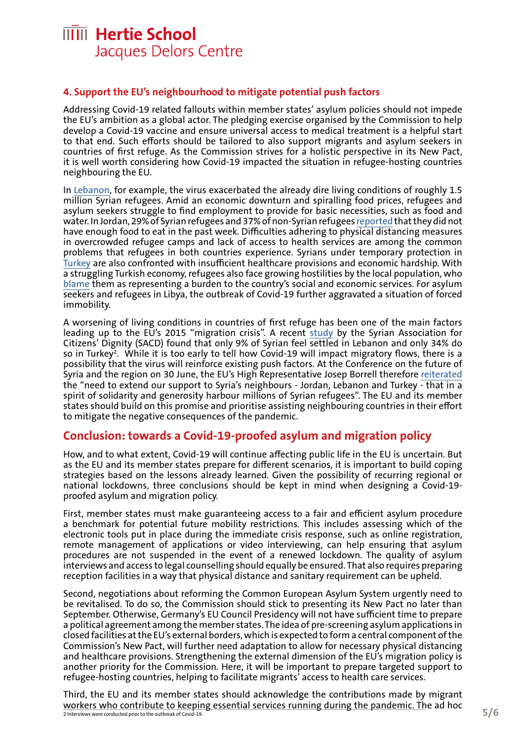#### **4. Support the EU's neighbourhood to mitigate potential push factors**

Addressing Covid-19 related fallouts within member states' asylum policies should not impede the EU's ambition as a global actor. The pledging exercise organised by the Commission to help develop a Covid-19 vaccine and ensure universal access to medical treatment is a helpful start to that end. Such efforts should be tailored to also support migrants and asylum seekers in countries of first refuge. As the Commission strives for a holistic perspective in its New Pact, it is well worth considering how Covid-19 impacted the situation in refugee-hosting countries neighbouring the EU.

In [Lebanon](https://reliefweb.int/report/lebanon/lebanon-covid-19-exacerbates-already-impossible-living-situation-syrian-refugees), for example, the virus exacerbated the already dire living conditions of roughly 1.5 million Syrian refugees. Amid an economic downturn and spiralling food prices, refugees and asylum seekers struggle to find employment to provide for basic necessities, such as food and water. In Jordan, 29% of Syrian refugees and 37% of non-Syrian refugees [reported](https://reliefweb.int/sites/reliefweb.int/files/resources/Multi-Sector Rapid Needs Assessment Findings - UNHCR WFP UNICEF May 2020.pdf) that they did not have enough food to eat in the past week. Difficulties adhering to physical distancing measures in overcrowded refugee camps and lack of access to health services are among the common problems that refugees in both countries experience. Syrians under temporary protection in [Turkey](https://reliefweb.int/sites/reliefweb.int/files/resources/76504.pdf) are also confronted with insufficient healthcare provisions and economic hardship. With a struggling Turkish economy, refugees also face growing hostilities by the local population, who [blame](https://mondediplo.com/2020/05/05turkey) them as representing a burden to the country's social and economic services. For asylum seekers and refugees in Libya, the outbreak of Covid-19 further aggravated a situation of forced immobility.

A worsening of living conditions in countries of first refuge has been one of the main factors leading up to the EU's 2015 "migration crisis". A recent [study](https://syacd.org/wp-content/uploads/2020/07/SACD_WE_ARE_SYRIA_EN.pdf) by the Syrian Association for Citizens' Dignity (SACD) found that only 9% of Syrian feel settled in Lebanon and only 34% do so in Turkey<sup>2</sup>. While it is too early to tell how Covid-19 will impact migratory flows, there is a possibility that the virus will reinforce existing push factors. At the Conference on the future of Syria and the region on 30 June, the EU's High Representative Josep Borrell therefore [reiterated](https://eeas.europa.eu/headquarters/headquarters-homepage/81779/syrian-crisis-opening-remarks-high-representativevice-president-josep-borrell-brussels-iv_en) the "need to extend our support to Syria's neighbours - Jordan, Lebanon and Turkey - that in a spirit of solidarity and generosity harbour millions of Syrian refugees". The EU and its member states should build on this promise and prioritise assisting neighbouring countries in their effort to mitigate the negative consequences of the pandemic.

#### **Conclusion: towards a Covid-19-proofed asylum and migration policy**

How, and to what extent, Covid-19 will continue affecting public life in the EU is uncertain. But as the EU and its member states prepare for different scenarios, it is important to build coping strategies based on the lessons already learned. Given the possibility of recurring regional or national lockdowns, three conclusions should be kept in mind when designing a Covid-19 proofed asylum and migration policy.

First, member states must make guaranteeing access to a fair and efficient asylum procedure a benchmark for potential future mobility restrictions. This includes assessing which of the electronic tools put in place during the immediate crisis response, such as online registration, remote management of applications or video interviewing, can help ensuring that asylum procedures are not suspended in the event of a renewed lockdown. The quality of asylum interviews and access to legal counselling should equally be ensured. That also requires preparing reception facilities in a way that physical distance and sanitary requirement can be upheld.

Second, negotiations about reforming the Common European Asylum System urgently need to be revitalised. To do so, the Commission should stick to presenting its New Pact no later than September. Otherwise, Germany's EU Council Presidency will not have sufficient time to prepare a political agreement among the member states. The idea of pre-screening asylum applications in closed facilities at the EU's external borders, which is expected to form a central component of the Commission's New Pact, will further need adaptation to allow for necessary physical distancing and healthcare provisions. Strengthening the external dimension of the EU's migration policy is another priority for the Commission. Here, it will be important to prepare targeted support to refugee-hosting countries, helping to facilitate migrants' access to health care services.

Third, the EU and its member states should acknowledge the contributions made by migrant workers who contribute to keeping essential services running during the pandemic. The ad hoc 2 Interviews were conducted prior to the outbreak of Covid-19.